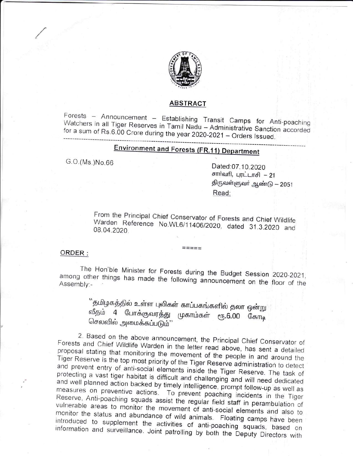

### **ABSTRACT**

Forests - Announcement - Establishing Transit Camps for Anti-poaching Watchers in all Tiger Reserves in Tamil Nadu - Administrative Sanction accorded for a sum of Rs.6.00 Crore during the year 2020-2021 - Orders Issued.

# **Environment and Forests (FR.11) Department**

G.O.(Ms.)No.66

Dated:07.10.2020 சார்வரி, புரட்டாசி - 21 திருவள்ளுவர் ஆண்டு — 2051 Read:

From the Principal Chief Conservator of Forests and Chief Wildlife Warden Reference No.WL6/11406/2020, dated 31.3.2020 and 08.04.2020.

 $=$  $=$  $=$  $=$  $=$ 

#### ORDER :

The Hon'ble Minister for Forests during the Budget Session 2020-2021, among other things has made the following announcement on the floor of the

> ``தமிழகத்தில் உள்ள புலிகள் காப்பகங்களில் தலா ஒன்று வீதம் 4 போக்குவரத்து முகாம்கள் ரூ.6.00 கோடி செலவில் அமைக்கப்படும்''

2. Based on the above announcement, the Principal Chief Conservator of Forests and Chief Wildlife Warden in the letter read above, has sent a detailed proposal stating that monitoring the movement of the people in and around the Tiger Reserve is the top most priority of the Tiger Reserve administration to detect and prevent entry of anti-social elements inside the Tiger Reserve. The task of protecting a vast tiger habitat is difficult and challenging and will need dedicated and well planned action backed by timely intelligence, prompt follow-up as well as measures on preventive actions. To prevent poaching incidents in the Tiger Reserve, Anti-poaching squads assist the regular field staff in perambulation of vulnerable areas to monitor the movement of anti-social elements and also to monitor the status and abundance of wild animals. Floating camps have been introduced to supplement the activities of anti-poaching squads, based on information and surveillance. Joint patrolling by both the Deputy Directors with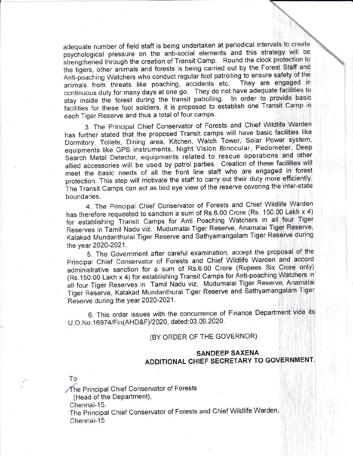adequate number of field staff is being undertaken at periodical intervals to create psychological pressure on the anti-social elements and this strategy will be strengthened through the creation of Transit Camp. Round the clock protection to the tigers, other animals and forests is being carried out by the Forest Staff and Anti-poaching Watchers who conduct regular foot patrolling to ensure safety of the<br>animals from threats like poaching, accidents etc. They are engaged in animals from threats like poaching, accidents etc. continuous duty for many days at one go. They do not have adequate facilities to stay inside the forest during the transit patrolling. ln order to provide basic facilities for these foot soldiers, it is proposed to establish one Transit Camp in each Tiger Reserve and thus a total of four camps.

3. The principal Chief Conservator of Forests and Chief Wildlife Warden has further stated that the proposed Transit camps will have basic facilities like Dormitory, Toilets, Dining area, Kitchen, Watch Tower, Solar Power system, equipments like GPS insiruments, Night Vision Binocular, Pedometer, Deep search Metal Detector, equipments related to rescue operations and other allied accessories will be used by patrol parties. Creation of these facilities will meet the basic needs of all the front line staff who are engaged in forest protection. This step will motivate the staff to carry out their duty more efficiently. The Transit Camps can act as bird eye view of the reserye covering the inter-state boundaries.

4. The principal Chief Conservator of Forests and Chief Wildlife Warden has therefore requested to sanction a sum of Rs.6.00 Crore (Rs. 150.00 Lakh x 4) for establishing Transit Camps for Anti Poaching Watchers in all four Tiger Reserves in Tamil Nadu viz. Mudumalai Tiger Reserve, Anamalai Tiger Reserve, Kalakad Mundanthurai Tiger Reserve and Sathyamangalam Tiger Reserve during the year 2020-2021.

5. The Government after careful examination, accept the proposal of the principal Chief Conservator of Forests and Chief Wildlife Warden and accord administrative sanction for a sum of Rs.6.00 Crore (Rupees Six Crore only) (Rs.150.00 Lakh x 4) for establishing Transit Camps for Anti-poaching Watchers in all four Tiger Reserves in Tamil Nadu viz. Mudumalai Tiger Reserve, Anamalai Tiger Reserve, Kalakad Mundanthurai Tiger Reserve and Sathyamangalam Tiger Reserve during the year 2020-2021.

6. This order issues with the concurrence of Finance Department vide its U.O.No.16974/Fin(AHD&F)/2020, dated:03.09.2020.

# (BY ORDER OF THE GOVERNOR)

# SANDEEP SAXENA ADDITIONAL CHIEF SECRETARY TO GOVERNMENT.

To

t

The Principal Chief Conservator of Forests (Head of the Department),

Chennai-15.

The principal Chief Conservator of Forests and Chief Wildlife Warden, Chennai-15